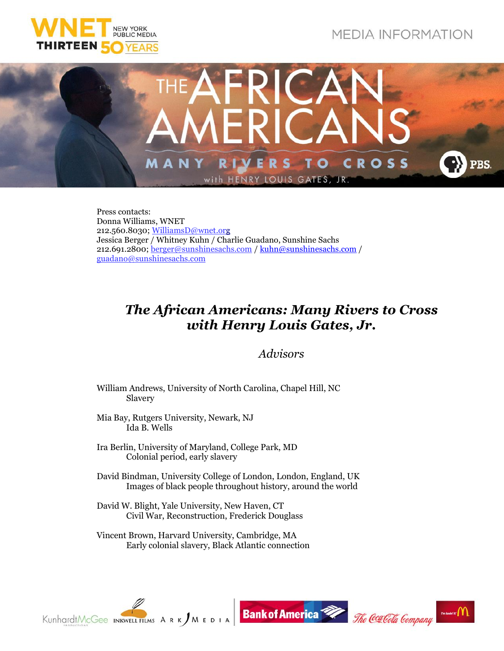





Press contacts: Donna Williams, WNET 212.560.8030[; WilliamsD@wnet.org](mailto:WilliamsD@wnet.org) Jessica Berger / Whitney Kuhn / Charlie Guadano, Sunshine Sachs 212.691.2800; [berger@sunshinesachs.com](mailto:berger@sunshinesachs.com) / [kuhn@sunshinesachs.com](mailto:kuhn@sunshinesachs.com) / [guadano@sunshinesachs.com](mailto:guadano@sunshinesachs.com)

## *The African Americans: Many Rivers to Cross with Henry Louis Gates, Jr.*

## *Advisors*

- William Andrews, University of North Carolina, Chapel Hill, NC Slavery
- Mia Bay, Rutgers University, Newark, NJ Ida B. Wells
- Ira Berlin, University of Maryland, College Park, MD Colonial period, early slavery
- David Bindman, University College of London, London, England, UK Images of black people throughout history, around the world
- David W. Blight, Yale University, New Haven, CT Civil War, Reconstruction, Frederick Douglass
- Vincent Brown, Harvard University, Cambridge, MA Early colonial slavery, Black Atlantic connection

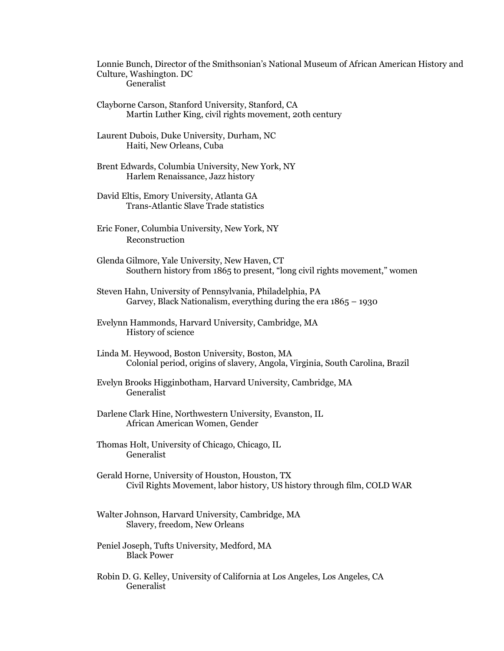Lonnie Bunch, Director of the Smithsonian's National Museum of African American History and Culture, Washington. DC Generalist

- Clayborne Carson, Stanford University, Stanford, CA Martin Luther King, civil rights movement, 20th century
- Laurent Dubois, Duke University, Durham, NC Haiti, New Orleans, Cuba
- Brent Edwards, Columbia University, New York, NY Harlem Renaissance, Jazz history
- David Eltis, Emory University, Atlanta GA Trans-Atlantic Slave Trade statistics
- Eric Foner, Columbia University, New York, NY Reconstruction
- Glenda Gilmore, Yale University, New Haven, CT Southern history from 1865 to present, "long civil rights movement," women
- Steven Hahn, University of Pennsylvania, Philadelphia, PA Garvey, Black Nationalism, everything during the era 1865 – 1930
- Evelynn Hammonds, Harvard University, Cambridge, MA History of science
- Linda M. Heywood, Boston University, Boston, MA Colonial period, origins of slavery, Angola, Virginia, South Carolina, Brazil
- Evelyn Brooks Higginbotham, Harvard University, Cambridge, MA Generalist
- Darlene Clark Hine, Northwestern University, Evanston, IL African American Women, Gender
- Thomas Holt, University of Chicago, Chicago, IL Generalist
- Gerald Horne, University of Houston, Houston, TX Civil Rights Movement, labor history, US history through film, COLD WAR
- Walter Johnson, Harvard University, Cambridge, MA Slavery, freedom, New Orleans
- Peniel Joseph, Tufts University, Medford, MA Black Power
- Robin D. G. Kelley, University of California at Los Angeles, Los Angeles, CA Generalist